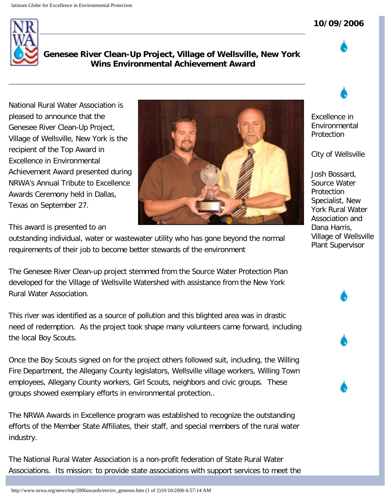## **10/09/2006**



**Genesee River Clean-Up Project, Village of Wellsville, New York Wins Environmental Achievement Award**

National Rural Water Association is pleased to announce that the Genesee River Clean-Up Project, Village of Wellsville, New York is the recipient of the Top Award in Excellence in Environmental Achievement Award presented during NRWA's Annual Tribute to Excellence Awards Ceremony held in Dallas, Texas on September 27.

This award is presented to an

outstanding individual, water or wastewater utility who has gone beyond the normal requirements of their job to become better stewards of the environment

The Genesee River Clean-up project stemmed from the Source Water Protection Plan developed for the Village of Wellsville Watershed with assistance from the New York Rural Water Association.

This river was identified as a source of pollution and this blighted area was in drastic need of redemption. As the project took shape many volunteers came forward, including the local Boy Scouts.

Once the Boy Scouts signed on for the project others followed suit, including, the Willing Fire Department, the Allegany County legislators, Wellsville village workers, Willing Town employees, Allegany County workers, Girl Scouts, neighbors and civic groups. These groups showed exemplary efforts in environmental protection..

The NRWA Awards in Excellence program was established to recognize the outstanding efforts of the Member State Affiliates, their staff, and special members of the rural water industry.

The National Rural Water Association is a non-profit federation of State Rural Water Associations. Its mission: to provide state associations with support services to meet the

http://www.nrwa.org/news/top/2006awards/enviro\_genesee.htm (1 of 2)10/10/2006 6:57:14 AM



Excellence in Environmental Protection

City of Wellsville

Josh Bossard, Source Water **Protection** Specialist, New York Rural Water Association and Dana Harris, Village of Wellsville Plant Supervisor